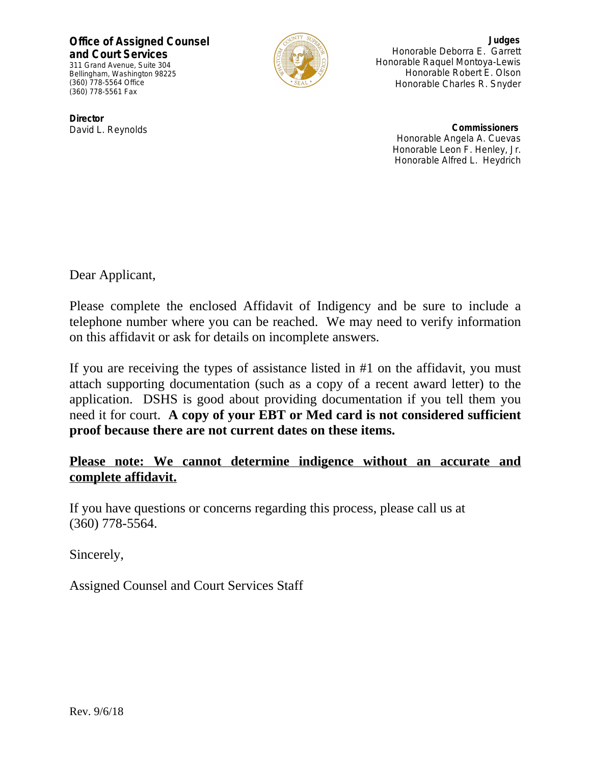**Office of Assigned Counsel and Court Services** 311 Grand Avenue, Suite 304

Bellingham, Washington 98225 (360) 778-5564 Office (360) 778-5561 Fax



**Judges** Honorable Deborra E. Garrett Honorable Raquel Montoya-Lewis Honorable Robert E. Olson Honorable Charles R. Snyder

**Director** David L. Reynolds

**Commissioners** Honorable Angela A. Cuevas Honorable Leon F. Henley, Jr. Honorable Alfred L. Heydrich

Dear Applicant,

Please complete the enclosed Affidavit of Indigency and be sure to include a telephone number where you can be reached. We may need to verify information on this affidavit or ask for details on incomplete answers.

If you are receiving the types of assistance listed in #1 on the affidavit, you must attach supporting documentation (such as a copy of a recent award letter) to the application. DSHS is good about providing documentation if you tell them you need it for court. **A copy of your EBT or Med card is not considered sufficient proof because there are not current dates on these items.**

## **Please note: We cannot determine indigence without an accurate and complete affidavit.**

If you have questions or concerns regarding this process, please call us at (360) 778-5564.

Sincerely,

Assigned Counsel and Court Services Staff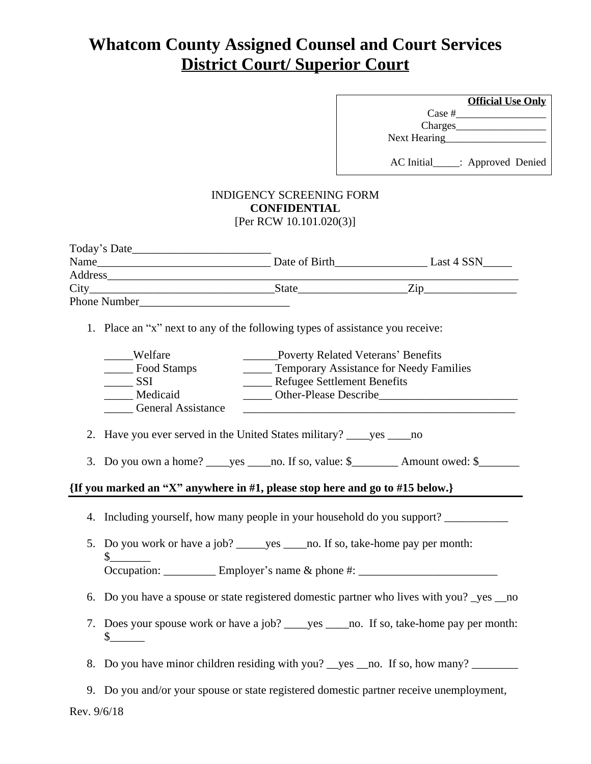# **Whatcom County Assigned Counsel and Court Services District Court/ Superior Court**

|              | <b>Official Use Only</b> |
|--------------|--------------------------|
| Case #       |                          |
| Charges_     |                          |
| Next Hearing |                          |
|              |                          |
| AC Initial   | .: Approved Denied       |

#### INDIGENCY SCREENING FORM **CONFIDENTIAL** [Per RCW 10.101.020(3)]

| Today's Date_       |               |            |
|---------------------|---------------|------------|
| Name                | Date of Birth | Last 4 SSN |
| Address             |               |            |
| City                | <b>State</b>  | 7.1 D      |
| <b>Phone Number</b> |               |            |

1. Place an "x" next to any of the following types of assistance you receive:

| Welfare                   | Poverty Related Veterans' Benefits             |
|---------------------------|------------------------------------------------|
| Food Stamps               | <b>Temporary Assistance for Needy Families</b> |
| <b>SSI</b>                | <b>Refugee Settlement Benefits</b>             |
| Medicaid                  | <b>Other-Please Describe</b>                   |
| <b>General Assistance</b> |                                                |

2. Have you ever served in the United States military? \_\_\_\_yes \_\_\_\_no

3. Do you own a home? \_\_\_\_\_yes \_\_\_\_\_no. If so, value:  $\frac{1}{2}$  Amount owed:  $\frac{1}{2}$ 

### **{If you marked an "X" anywhere in #1, please stop here and go to #15 below.}**

- 4. Including yourself, how many people in your household do you support?
- 5. Do you work or have a job? \_\_\_\_\_yes \_\_\_\_no. If so, take-home pay per month:  $\frac{\S_{\_}$ Occupation: \_\_\_\_\_\_\_\_\_\_\_\_ Employer's name & phone #: \_\_\_\_\_\_\_\_\_\_\_\_\_\_\_\_\_\_\_\_\_\_\_\_\_\_\_\_
- 6. Do you have a spouse or state registered domestic partner who lives with you? \_yes \_\_no
- 7. Does your spouse work or have a job? \_\_\_\_yes \_\_\_\_no. If so, take-home pay per month:  $\mathbb S$
- 8. Do you have minor children residing with you? yes \_\_no. If so, how many?
- 9. Do you and/or your spouse or state registered domestic partner receive unemployment,

Rev. 9/6/18